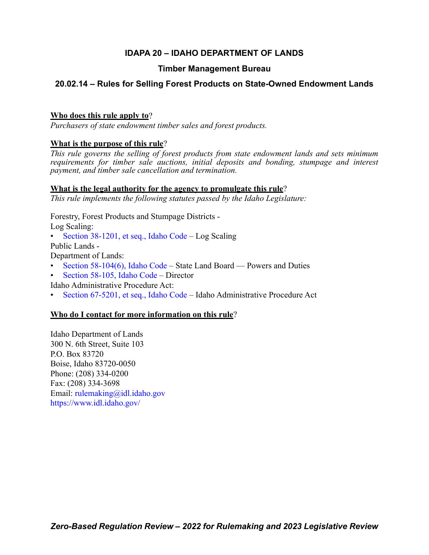# **IDAPA 20 – IDAHO DEPARTMENT OF LANDS**

## **Timber Management Bureau**

# **20.02.14 – Rules for Selling Forest Products on State-Owned Endowment Lands**

## **Who does this rule apply to**?

*Purchasers of state endowment timber sales and forest products.*

## **What is the purpose of this rule**?

*This rule governs the selling of forest products from state endowment lands and sets minimum requirements for timber sale auctions, initial deposits and bonding, stumpage and interest payment, and timber sale cancellation and termination.*

### **What is the legal authority for the agency to promulgate this rule**?

*This rule implements the following statutes passed by the Idaho Legislature:*

Forestry, Forest Products and Stumpage Districts -

Log Scaling:

• [Section 38-1201, et seq., Idaho Code](https://legislature.idaho.gov/statutesrules/idstat/Title38/T38CH12/) – Log Scaling

Public Lands -

Department of Lands:

- [Section 58-104\(6\), Idaho Code](https://legislature.idaho.gov/statutesrules/idstat/Title58/T58CH1/SECT58-104/)  State Land Board Powers and Duties
- [Section 58-105, Idaho Code](https://legislature.idaho.gov/statutesrules/idstat/Title58/T58CH1/SECT58-105/)  Director

Idaho Administrative Procedure Act:

• [Section 67-5201, et seq., Idaho Code](https://legislature.idaho.gov/statutesrules/idstat/Title67/T67CH52/) – Idaho Administrative Procedure Act

## **Who do I contact for more information on this rule**?

Idaho Department of Lands 300 N. 6th Street, Suite 103 P.O. Box 83720 Boise, Idaho 83720-0050 Phone: (208) 334-0200 Fax: (208) 334-3698 Email: [rulemaking@idl.idaho.gov](mailto:rulemaking@idl.idaho.gov) <https://www.idl.idaho.gov/>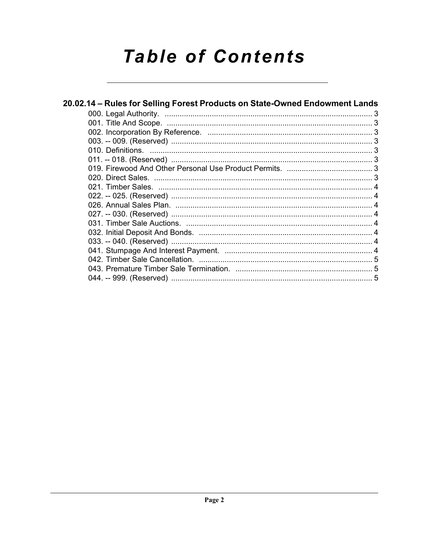# **Table of Contents**

| 20.02.14 – Rules for Selling Forest Products on State-Owned Endowment Lands |  |  |
|-----------------------------------------------------------------------------|--|--|
|                                                                             |  |  |
|                                                                             |  |  |
|                                                                             |  |  |
|                                                                             |  |  |
|                                                                             |  |  |
|                                                                             |  |  |
|                                                                             |  |  |
|                                                                             |  |  |
|                                                                             |  |  |
|                                                                             |  |  |
|                                                                             |  |  |
|                                                                             |  |  |
|                                                                             |  |  |
|                                                                             |  |  |
|                                                                             |  |  |
|                                                                             |  |  |
|                                                                             |  |  |
|                                                                             |  |  |
|                                                                             |  |  |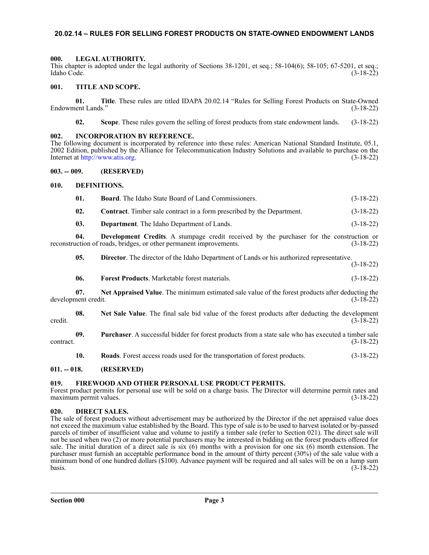#### <span id="page-2-0"></span>**20.02.14 – RULES FOR SELLING FOREST PRODUCTS ON STATE-OWNED ENDOWMENT LANDS**

#### <span id="page-2-1"></span>**000. LEGAL AUTHORITY.**

This chapter is adopted under the legal authority of Sections 38-1201, et seq.; 58-104(6); 58-105; 67-5201, et seq.; Idaho Code. (3-18-22)

#### <span id="page-2-2"></span>**001. TITLE AND SCOPE.**

**01.** Title. These rules are titled IDAPA 20.02.14 "Rules for Selling Forest Products on State-Owned ent Lands." (3-18-22) Endowment Lands."

**02. Scope**. These rules govern the selling of forest products from state endowment lands. (3-18-22)

#### <span id="page-2-3"></span>**002. INCORPORATION BY REFERENCE.**

The following document is incorporated by reference into these rules: American National Standard Institute, 05.1, 2002 Edition, published by the Alliance for Telecommunication Industry Solutions and available to purchase on the Internet at<http://www.atis.org>. (3-18-22)

#### <span id="page-2-4"></span>**003. -- 009. (RESERVED)**

#### <span id="page-2-5"></span>**010. DEFINITIONS.**

| - 01. | <b>Board.</b> The Idaho State Board of Land Commissioners.                    | $(3-18-22)$ |
|-------|-------------------------------------------------------------------------------|-------------|
| - 02. | <b>Contract.</b> Timber sale contract in a form prescribed by the Department. | $(3-18-22)$ |

**03. Department**. The Idaho Department of Lands. (3-18-22)

**04. Development Credits**. A stumpage credit received by the purchaser for the construction or reconstruction of roads, bridges, or other permanent improvements. (3-18-22)

**05. Director**. The director of the Idaho Department of Lands or his authorized representative. (3-18-22)

**06. Forest Products**. Marketable forest materials. (3-18-22)

**07.** Net Appraised Value. The minimum estimated sale value of the forest products after deducting the nent credit. (3-18-22) development credit.

**08.** Net Sale Value. The final sale bid value of the forest products after deducting the development (3-18-22) credit.  $(3-\bar{1}8-22)$ 

**09. Purchaser**. A successful bidder for forest products from a state sale who has executed a timber sale  $\frac{3-18-22}{2}$ 

**10. Roads**. Forest access roads used for the transportation of forest products. (3-18-22)

#### <span id="page-2-6"></span>**011. -- 018. (RESERVED)**

#### <span id="page-2-7"></span>**019. FIREWOOD AND OTHER PERSONAL USE PRODUCT PERMITS.**

Forest product permits for personal use will be sold on a charge basis. The Director will determine permit rates and maximum permit values. (3-18-22)

#### <span id="page-2-8"></span>**020. DIRECT SALES.**

The sale of forest products without advertisement may be authorized by the Director if the net appraised value does not exceed the maximum value established by the Board. This type of sale is to be used to harvest isolated or by-passed parcels of timber of insufficient value and volume to justify a timber sale (refer to Section 021). The direct sale will not be used when two (2) or more potential purchasers may be interested in bidding on the forest products offered for sale. The initial duration of a direct sale is six (6) months with a provision for one six (6) month extension. The purchaser must furnish an acceptable performance bond in the amount of thirty percent (30%) of the sale value with a minimum bond of one hundred dollars (\$100). Advance payment will be required and all sales will be on a lump sum  $basis.$  (3-18-22)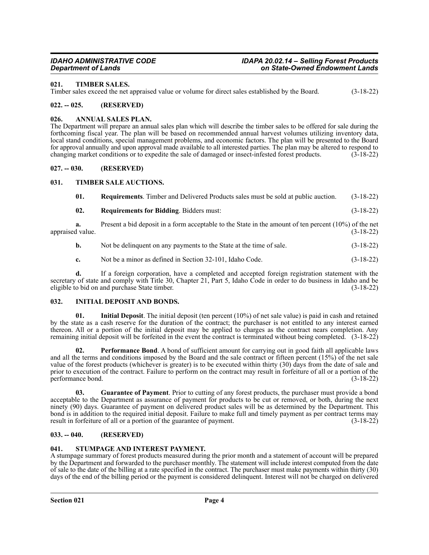#### <span id="page-3-0"></span>**021. TIMBER SALES.**

Timber sales exceed the net appraised value or volume for direct sales established by the Board. (3-18-22)

#### <span id="page-3-1"></span>**022. -- 025. (RESERVED)**

#### <span id="page-3-2"></span>**026. ANNUAL SALES PLAN.**

The Department will prepare an annual sales plan which will describe the timber sales to be offered for sale during the forthcoming fiscal year. The plan will be based on recommended annual harvest volumes utilizing inventory data, local stand conditions, special management problems, and economic factors. The plan will be presented to the Board for approval annually and upon approval made available to all interested parties. The plan may be altered to respond to changing market conditions or to expedite the sale of damaged or insect-infested forest products. (3-18-22)

#### <span id="page-3-3"></span>**027. -- 030. (RESERVED)**

#### <span id="page-3-4"></span>**031. TIMBER SALE AUCTIONS.**

| 01. | <b>Requirements.</b> Timber and Delivered Products sales must be sold at public auction. (3-18-22) |  |
|-----|----------------------------------------------------------------------------------------------------|--|
|     |                                                                                                    |  |

**02. Requirements for Bidding**. Bidders must: (3-18-22)

**a.** Present a bid deposit in a form acceptable to the State in the amount of ten percent (10%) of the net dvalue. (3-18-22) appraised value.

- **b.** Not be delinquent on any payments to the State at the time of sale.  $(3-18-22)$
- **c.** Not be a minor as defined in Section 32-101, Idaho Code. (3-18-22)

**d.** If a foreign corporation, have a completed and accepted foreign registration statement with the secretary of state and comply with Title 30, Chapter 21, Part 5, Idaho Code in order to do business in Idaho and be eligible to bid on and purchase State timber. (3-18-22)

#### <span id="page-3-5"></span>**032. INITIAL DEPOSIT AND BONDS.**

**01. Initial Deposit**. The initial deposit (ten percent (10%) of net sale value) is paid in cash and retained by the state as a cash reserve for the duration of the contract; the purchaser is not entitled to any interest earned thereon. All or a portion of the initial deposit may be applied to charges as the contract nears completion. Any remaining initial deposit will be forfeited in the event the contract is terminated without being completed. (3-18-22)

**02. Performance Bond**. A bond of sufficient amount for carrying out in good faith all applicable laws and all the terms and conditions imposed by the Board and the sale contract or fifteen percent (15%) of the net sale value of the forest products (whichever is greater) is to be executed within thirty (30) days from the date of sale and prior to execution of the contract. Failure to perform on the contract may result in forfeiture of all or a portion of the performance bond. (3-18-22)

**03. Guarantee of Payment**. Prior to cutting of any forest products, the purchaser must provide a bond acceptable to the Department as assurance of payment for products to be cut or removed, or both, during the next ninety (90) days. Guarantee of payment on delivered product sales will be as determined by the Department. This bond is in addition to the required initial deposit. Failure to make full and timely payment as per contract terms may result in forfeiture of all or a portion of the guarantee of payment. (3-18-22) result in forfeiture of all or a portion of the guarantee of payment.

#### <span id="page-3-6"></span>**033. -- 040. (RESERVED)**

#### <span id="page-3-7"></span>**041. STUMPAGE AND INTEREST PAYMENT.**

A stumpage summary of forest products measured during the prior month and a statement of account will be prepared by the Department and forwarded to the purchaser monthly. The statement will include interest computed from the date of sale to the date of the billing at a rate specified in the contract. The purchaser must make payments within thirty (30) days of the end of the billing period or the payment is considered delinquent. Interest will not be charged on delivered